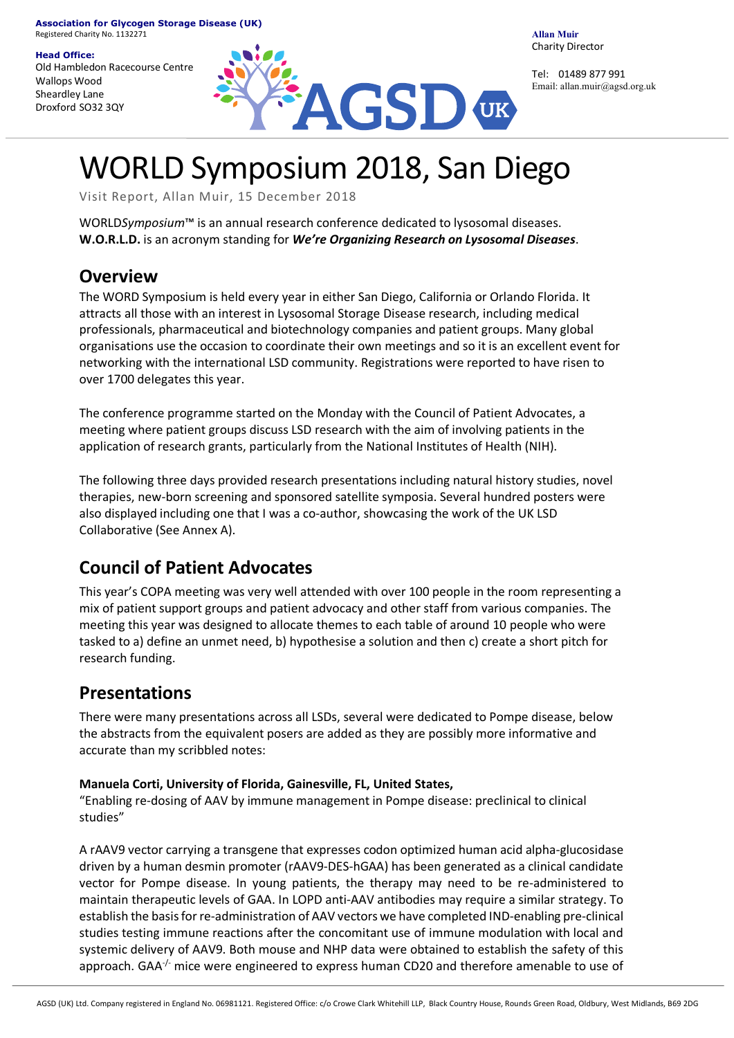#### **Head Office:**

Old Hambledon Racecourse Centre Wallops Wood Sheardley Lane Droxford SO32 3QY



**Allan Muir** Charity Director

Tel: 01489 877 991 Email: allan.muir@agsd.org.uk

# WORLD Symposium 2018, San Diego

Visit Report, Allan Muir, 15 December 2018

WORLD*Symposium*™ is an annual research conference dedicated to lysosomal diseases. **W.O.R.L.D.** is an acronym standing for *We're Organizing Research on Lysosomal Diseases*.

### **Overview**

The WORD Symposium is held every year in either San Diego, California or Orlando Florida. It attracts all those with an interest in Lysosomal Storage Disease research, including medical professionals, pharmaceutical and biotechnology companies and patient groups. Many global organisations use the occasion to coordinate their own meetings and so it is an excellent event for networking with the international LSD community. Registrations were reported to have risen to over 1700 delegates this year.

The conference programme started on the Monday with the Council of Patient Advocates, a meeting where patient groups discuss LSD research with the aim of involving patients in the application of research grants, particularly from the National Institutes of Health (NIH).

The following three days provided research presentations including natural history studies, novel therapies, new-born screening and sponsored satellite symposia. Several hundred posters were also displayed including one that I was a co-author, showcasing the work of the UK LSD Collaborative (See Annex A).

# **Council of Patient Advocates**

This year's COPA meeting was very well attended with over 100 people in the room representing a mix of patient support groups and patient advocacy and other staff from various companies. The meeting this year was designed to allocate themes to each table of around 10 people who were tasked to a) define an unmet need, b) hypothesise a solution and then c) create a short pitch for research funding.

## **Presentations**

There were many presentations across all LSDs, several were dedicated to Pompe disease, below the abstracts from the equivalent posers are added as they are possibly more informative and accurate than my scribbled notes:

#### **Manuela Corti, University of Florida, Gainesville, FL, United States,**

"Enabling re-dosing of AAV by immune management in Pompe disease: preclinical to clinical studies"

A rAAV9 vector carrying a transgene that expresses codon optimized human acid alpha-glucosidase driven by a human desmin promoter (rAAV9-DES-hGAA) has been generated as a clinical candidate vector for Pompe disease. In young patients, the therapy may need to be re-administered to maintain therapeutic levels of GAA. In LOPD anti-AAV antibodies may require a similar strategy. To establish the basis for re-administration of AAV vectors we have completed IND-enabling pre-clinical studies testing immune reactions after the concomitant use of immune modulation with local and systemic delivery of AAV9. Both mouse and NHP data were obtained to establish the safety of this approach. GAA<sup>-/-</sup> mice were engineered to express human CD20 and therefore amenable to use of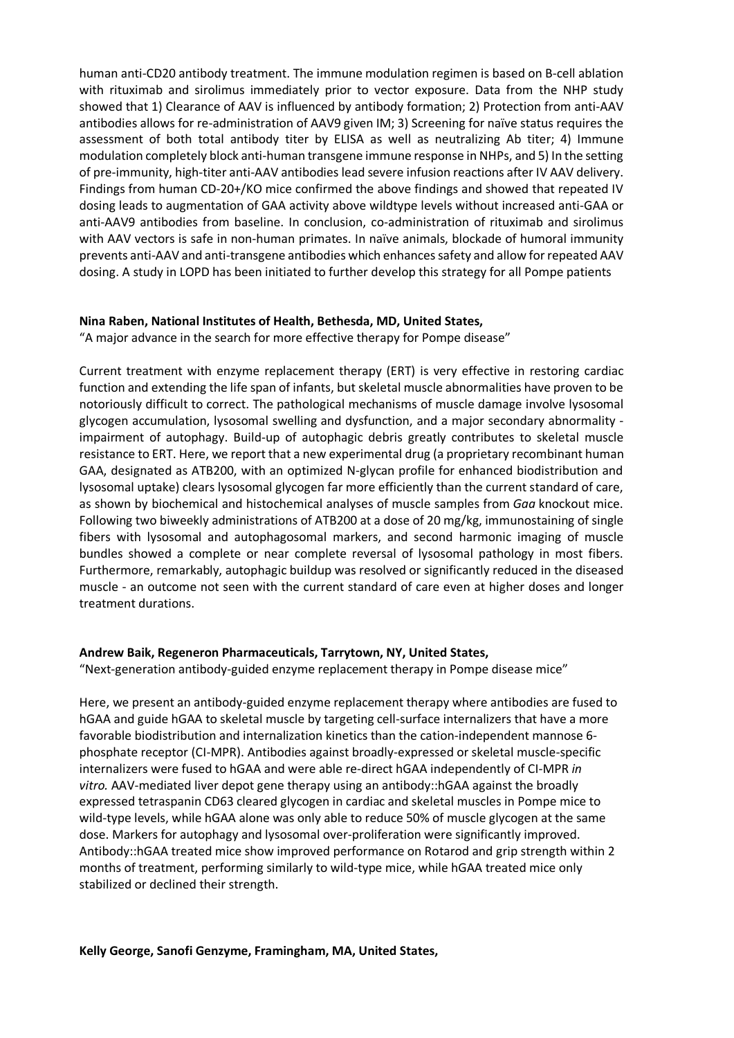human anti-CD20 antibody treatment. The immune modulation regimen is based on B-cell ablation with rituximab and sirolimus immediately prior to vector exposure. Data from the NHP study showed that 1) Clearance of AAV is influenced by antibody formation; 2) Protection from anti-AAV antibodies allows for re-administration of AAV9 given IM; 3) Screening for naïve status requires the assessment of both total antibody titer by ELISA as well as neutralizing Ab titer; 4) Immune modulation completely block anti-human transgene immune response in NHPs, and 5) In the setting of pre-immunity, high-titer anti-AAV antibodies lead severe infusion reactions after IV AAV delivery. Findings from human CD-20+/KO mice confirmed the above findings and showed that repeated IV dosing leads to augmentation of GAA activity above wildtype levels without increased anti-GAA or anti-AAV9 antibodies from baseline. In conclusion, co-administration of rituximab and sirolimus with AAV vectors is safe in non-human primates. In naïve animals, blockade of humoral immunity prevents anti-AAV and anti-transgene antibodies which enhances safety and allow for repeated AAV dosing. A study in LOPD has been initiated to further develop this strategy for all Pompe patients

#### **Nina Raben, National Institutes of Health, Bethesda, MD, United States,**

"A major advance in the search for more effective therapy for Pompe disease"

Current treatment with enzyme replacement therapy (ERT) is very effective in restoring cardiac function and extending the life span of infants, but skeletal muscle abnormalities have proven to be notoriously difficult to correct. The pathological mechanisms of muscle damage involve lysosomal glycogen accumulation, lysosomal swelling and dysfunction, and a major secondary abnormality impairment of autophagy. Build-up of autophagic debris greatly contributes to skeletal muscle resistance to ERT. Here, we report that a new experimental drug (a proprietary recombinant human GAA, designated as ATB200, with an optimized N-glycan profile for enhanced biodistribution and lysosomal uptake) clears lysosomal glycogen far more efficiently than the current standard of care, as shown by biochemical and histochemical analyses of muscle samples from *Gaa* knockout mice. Following two biweekly administrations of ATB200 at a dose of 20 mg/kg, immunostaining of single fibers with lysosomal and autophagosomal markers, and second harmonic imaging of muscle bundles showed a complete or near complete reversal of lysosomal pathology in most fibers. Furthermore, remarkably, autophagic buildup was resolved or significantly reduced in the diseased muscle - an outcome not seen with the current standard of care even at higher doses and longer treatment durations.

#### **Andrew Baik, Regeneron Pharmaceuticals, Tarrytown, NY, United States,**

"Next-generation antibody-guided enzyme replacement therapy in Pompe disease mice"

Here, we present an antibody-guided enzyme replacement therapy where antibodies are fused to hGAA and guide hGAA to skeletal muscle by targeting cell-surface internalizers that have a more favorable biodistribution and internalization kinetics than the cation-independent mannose 6 phosphate receptor (CI-MPR). Antibodies against broadly-expressed or skeletal muscle-specific internalizers were fused to hGAA and were able re-direct hGAA independently of CI-MPR *in vitro.* AAV-mediated liver depot gene therapy using an antibody::hGAA against the broadly expressed tetraspanin CD63 cleared glycogen in cardiac and skeletal muscles in Pompe mice to wild-type levels, while hGAA alone was only able to reduce 50% of muscle glycogen at the same dose. Markers for autophagy and lysosomal over-proliferation were significantly improved. Antibody::hGAA treated mice show improved performance on Rotarod and grip strength within 2 months of treatment, performing similarly to wild-type mice, while hGAA treated mice only stabilized or declined their strength.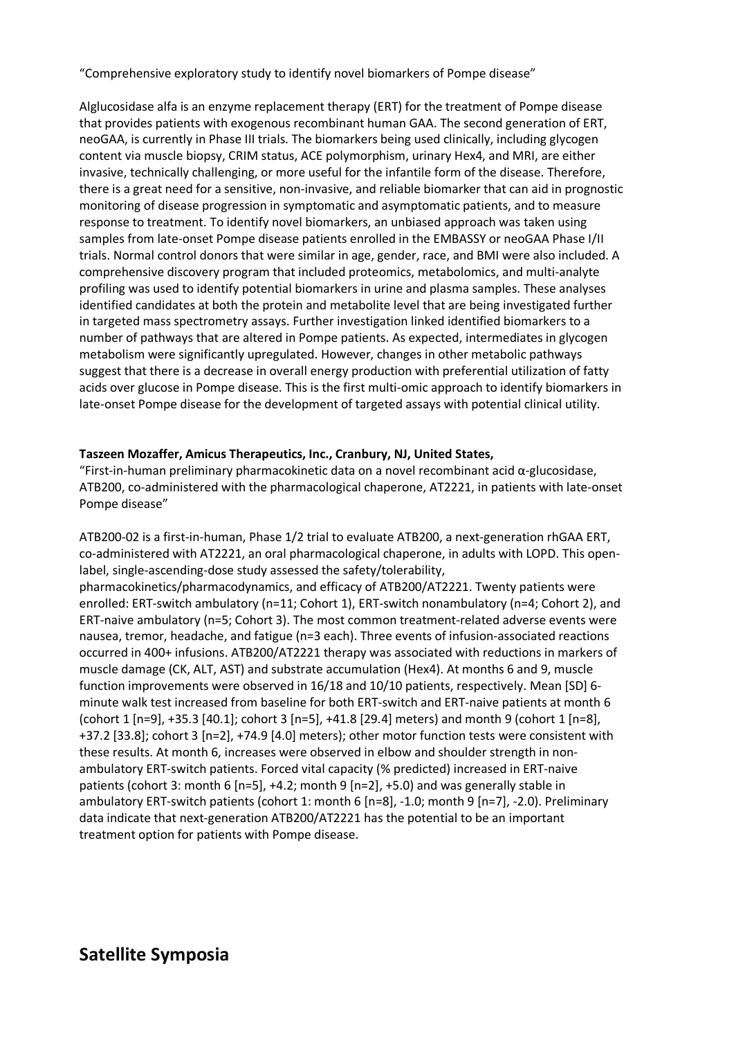"Comprehensive exploratory study to identify novel biomarkers of Pompe disease"

Alglucosidase alfa is an enzyme replacement therapy (ERT) for the treatment of Pompe disease that provides patients with exogenous recombinant human GAA. The second generation of ERT, neoGAA, is currently in Phase III trials. The biomarkers being used clinically, including glycogen content via muscle biopsy, CRIM status, ACE polymorphism, urinary Hex4, and MRI, are either invasive, technically challenging, or more useful for the infantile form of the disease. Therefore, there is a great need for a sensitive, non-invasive, and reliable biomarker that can aid in prognostic monitoring of disease progression in symptomatic and asymptomatic patients, and to measure response to treatment. To identify novel biomarkers, an unbiased approach was taken using samples from late-onset Pompe disease patients enrolled in the EMBASSY or neoGAA Phase I/II trials. Normal control donors that were similar in age, gender, race, and BMI were also included. A comprehensive discovery program that included proteomics, metabolomics, and multi-analyte profiling was used to identify potential biomarkers in urine and plasma samples. These analyses identified candidates at both the protein and metabolite level that are being investigated further in targeted mass spectrometry assays. Further investigation linked identified biomarkers to a number of pathways that are altered in Pompe patients. As expected, intermediates in glycogen metabolism were significantly upregulated. However, changes in other metabolic pathways suggest that there is a decrease in overall energy production with preferential utilization of fatty acids over glucose in Pompe disease. This is the first multi-omic approach to identify biomarkers in late-onset Pompe disease for the development of targeted assays with potential clinical utility.

#### **Taszeen Mozaffer, Amicus Therapeutics, Inc., Cranbury, NJ, United States,**

"First-in-human preliminary pharmacokinetic data on a novel recombinant acid α-glucosidase, ATB200, co-administered with the pharmacological chaperone, AT2221, in patients with late-onset Pompe disease"

ATB200-02 is a first-in-human, Phase 1/2 trial to evaluate ATB200, a next-generation rhGAA ERT, co-administered with AT2221, an oral pharmacological chaperone, in adults with LOPD. This openlabel, single-ascending-dose study assessed the safety/tolerability, pharmacokinetics/pharmacodynamics, and efficacy of ATB200/AT2221. Twenty patients were enrolled: ERT-switch ambulatory (n=11; Cohort 1), ERT-switch nonambulatory (n=4; Cohort 2), and ERT-naive ambulatory (n=5; Cohort 3). The most common treatment-related adverse events were nausea, tremor, headache, and fatigue (n=3 each). Three events of infusion-associated reactions occurred in 400+ infusions. ATB200/AT2221 therapy was associated with reductions in markers of muscle damage (CK, ALT, AST) and substrate accumulation (Hex4). At months 6 and 9, muscle function improvements were observed in 16/18 and 10/10 patients, respectively. Mean [SD] 6 minute walk test increased from baseline for both ERT-switch and ERT-naive patients at month 6 (cohort 1 [n=9], +35.3 [40.1]; cohort 3 [n=5], +41.8 [29.4] meters) and month 9 (cohort 1 [n=8], +37.2 [33.8]; cohort 3 [n=2], +74.9 [4.0] meters); other motor function tests were consistent with these results. At month 6, increases were observed in elbow and shoulder strength in nonambulatory ERT-switch patients. Forced vital capacity (% predicted) increased in ERT-naive patients (cohort 3: month 6 [n=5], +4.2; month 9 [n=2], +5.0) and was generally stable in ambulatory ERT-switch patients (cohort 1: month 6 [n=8], -1.0; month 9 [n=7], -2.0). Preliminary data indicate that next-generation ATB200/AT2221 has the potential to be an important treatment option for patients with Pompe disease.

### **Satellite Symposia**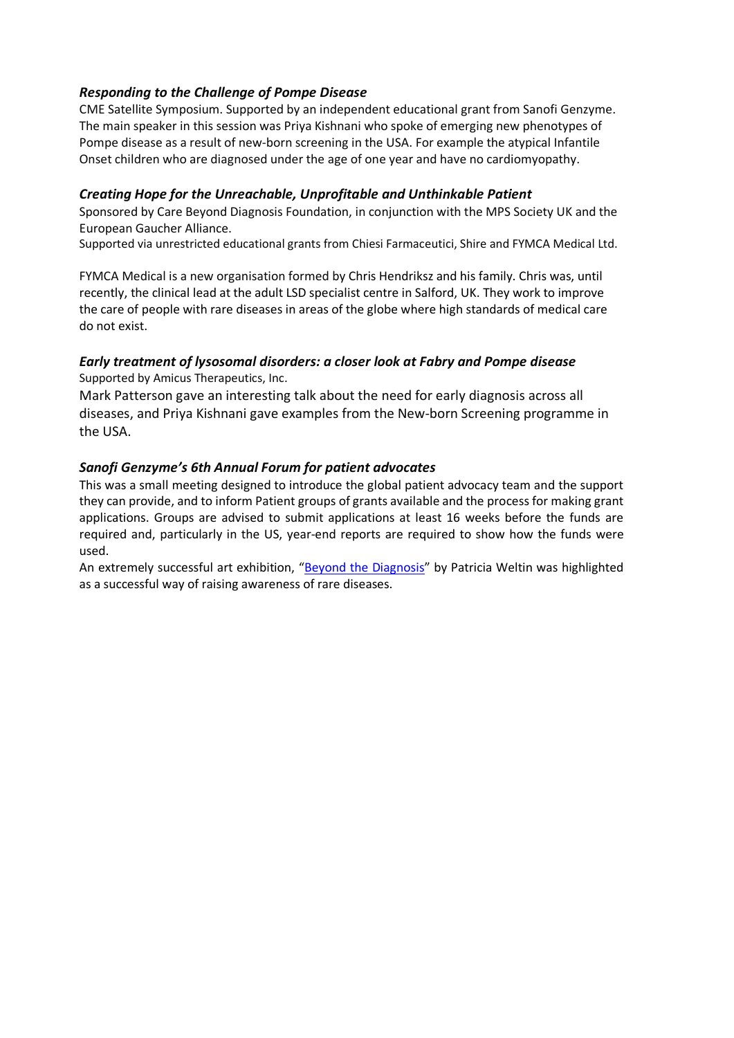#### *Responding to the Challenge of Pompe Disease*

CME Satellite Symposium. Supported by an independent educational grant from Sanofi Genzyme. The main speaker in this session was Priya Kishnani who spoke of emerging new phenotypes of Pompe disease as a result of new-born screening in the USA. For example the atypical Infantile Onset children who are diagnosed under the age of one year and have no cardiomyopathy.

#### *Creating Hope for the Unreachable, Unprofitable and Unthinkable Patient*

Sponsored by Care Beyond Diagnosis Foundation, in conjunction with the MPS Society UK and the European Gaucher Alliance.

Supported via unrestricted educational grants from Chiesi Farmaceutici, Shire and FYMCA Medical Ltd.

FYMCA Medical is a new organisation formed by Chris Hendriksz and his family. Chris was, until recently, the clinical lead at the adult LSD specialist centre in Salford, UK. They work to improve the care of people with rare diseases in areas of the globe where high standards of medical care do not exist.

#### *Early treatment of lysosomal disorders: a closer look at Fabry and Pompe disease*

Supported by Amicus Therapeutics, Inc.

Mark Patterson gave an interesting talk about the need for early diagnosis across all diseases, and Priya Kishnani gave examples from the New-born Screening programme in the USA.

#### *Sanofi Genzyme's 6th Annual Forum for patient advocates*

This was a small meeting designed to introduce the global patient advocacy team and the support they can provide, and to inform Patient groups of grants available and the process for making grant applications. Groups are advised to submit applications at least 16 weeks before the funds are required and, particularly in the US, year-end reports are required to show how the funds were used.

An extremely successful art exhibition, "Beyond the Diagnosis" by Patricia Weltin was highlighted as a successful way of raising awareness of rare diseases.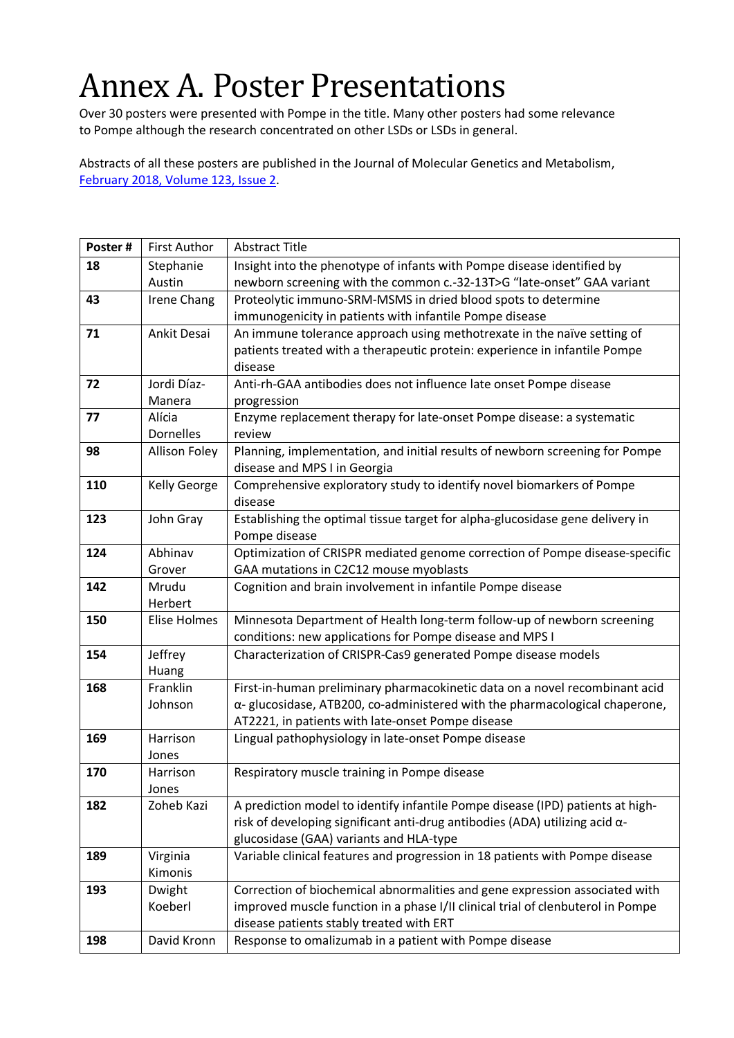# Annex A. Poster Presentations

Over 30 posters were presented with Pompe in the title. Many other posters had some relevance to Pompe although the research concentrated on other LSDs or LSDs in general.

Abstracts of all these posters are published in the Journal of Molecular Genetics and Metabolism, February 2018, Volume 123, Issue 2.

| Poster# | <b>First Author</b>  | <b>Abstract Title</b>                                                               |
|---------|----------------------|-------------------------------------------------------------------------------------|
| 18      | Stephanie            | Insight into the phenotype of infants with Pompe disease identified by              |
|         | Austin               | newborn screening with the common c.-32-13T>G "late-onset" GAA variant              |
| 43      | <b>Irene Chang</b>   | Proteolytic immuno-SRM-MSMS in dried blood spots to determine                       |
|         |                      | immunogenicity in patients with infantile Pompe disease                             |
| 71      | Ankit Desai          | An immune tolerance approach using methotrexate in the naïve setting of             |
|         |                      | patients treated with a therapeutic protein: experience in infantile Pompe          |
|         |                      | disease                                                                             |
| 72      | Jordi Díaz-          | Anti-rh-GAA antibodies does not influence late onset Pompe disease                  |
|         | Manera               | progression                                                                         |
| 77      | Alícia               | Enzyme replacement therapy for late-onset Pompe disease: a systematic               |
|         | <b>Dornelles</b>     | review                                                                              |
| 98      | <b>Allison Foley</b> | Planning, implementation, and initial results of newborn screening for Pompe        |
|         |                      | disease and MPS I in Georgia                                                        |
| 110     | <b>Kelly George</b>  | Comprehensive exploratory study to identify novel biomarkers of Pompe               |
|         |                      | disease                                                                             |
| 123     | John Gray            | Establishing the optimal tissue target for alpha-glucosidase gene delivery in       |
|         |                      | Pompe disease                                                                       |
| 124     | Abhinav              | Optimization of CRISPR mediated genome correction of Pompe disease-specific         |
|         | Grover               | GAA mutations in C2C12 mouse myoblasts                                              |
| 142     | Mrudu                | Cognition and brain involvement in infantile Pompe disease                          |
|         | Herbert              |                                                                                     |
| 150     | <b>Elise Holmes</b>  | Minnesota Department of Health long-term follow-up of newborn screening             |
|         |                      | conditions: new applications for Pompe disease and MPS I                            |
| 154     | Jeffrey              | Characterization of CRISPR-Cas9 generated Pompe disease models                      |
|         | Huang                |                                                                                     |
| 168     | Franklin             | First-in-human preliminary pharmacokinetic data on a novel recombinant acid         |
|         | Johnson              | α-glucosidase, ATB200, co-administered with the pharmacological chaperone,          |
|         |                      | AT2221, in patients with late-onset Pompe disease                                   |
| 169     | Harrison             | Lingual pathophysiology in late-onset Pompe disease                                 |
|         | Jones                |                                                                                     |
| 170     | Harrison             | Respiratory muscle training in Pompe disease                                        |
|         | Jones                |                                                                                     |
| 182     | Zoheb Kazi           | A prediction model to identify infantile Pompe disease (IPD) patients at high-      |
|         |                      | risk of developing significant anti-drug antibodies (ADA) utilizing acid $\alpha$ - |
|         |                      | glucosidase (GAA) variants and HLA-type                                             |
| 189     | Virginia             | Variable clinical features and progression in 18 patients with Pompe disease        |
|         | Kimonis              |                                                                                     |
| 193     | Dwight               | Correction of biochemical abnormalities and gene expression associated with         |
|         | Koeberl              | improved muscle function in a phase I/II clinical trial of clenbuterol in Pompe     |
|         |                      | disease patients stably treated with ERT                                            |
| 198     | David Kronn          | Response to omalizumab in a patient with Pompe disease                              |